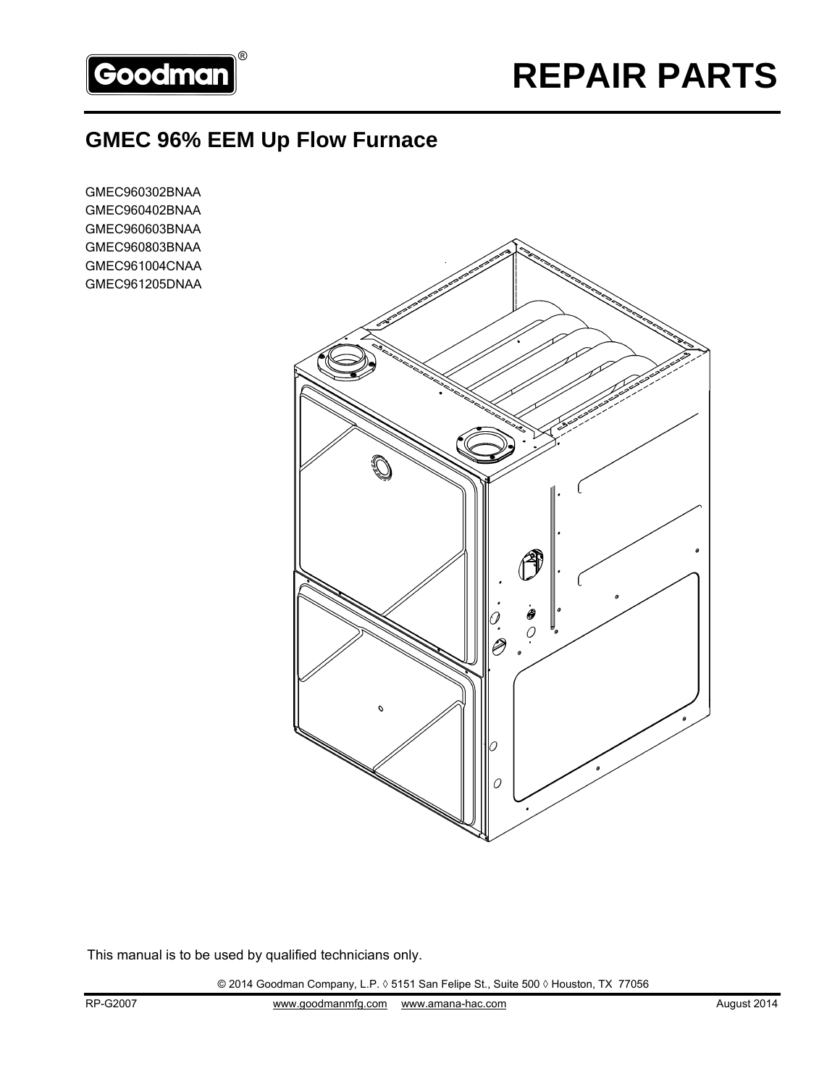

## **GMEC 96% EEM Up Flow Furnace**

GMEC960302BNAA GMEC960402BNAA GMEC960603BNAA GMEC960803BNAA GMEC961004CNAA GMEC961205DNAA



This manual is to be used by qualified technicians only.

© 2014 Goodman Company, L.P. ◊ 5151 San Felipe St., Suite 500 ◊ Houston, TX 77056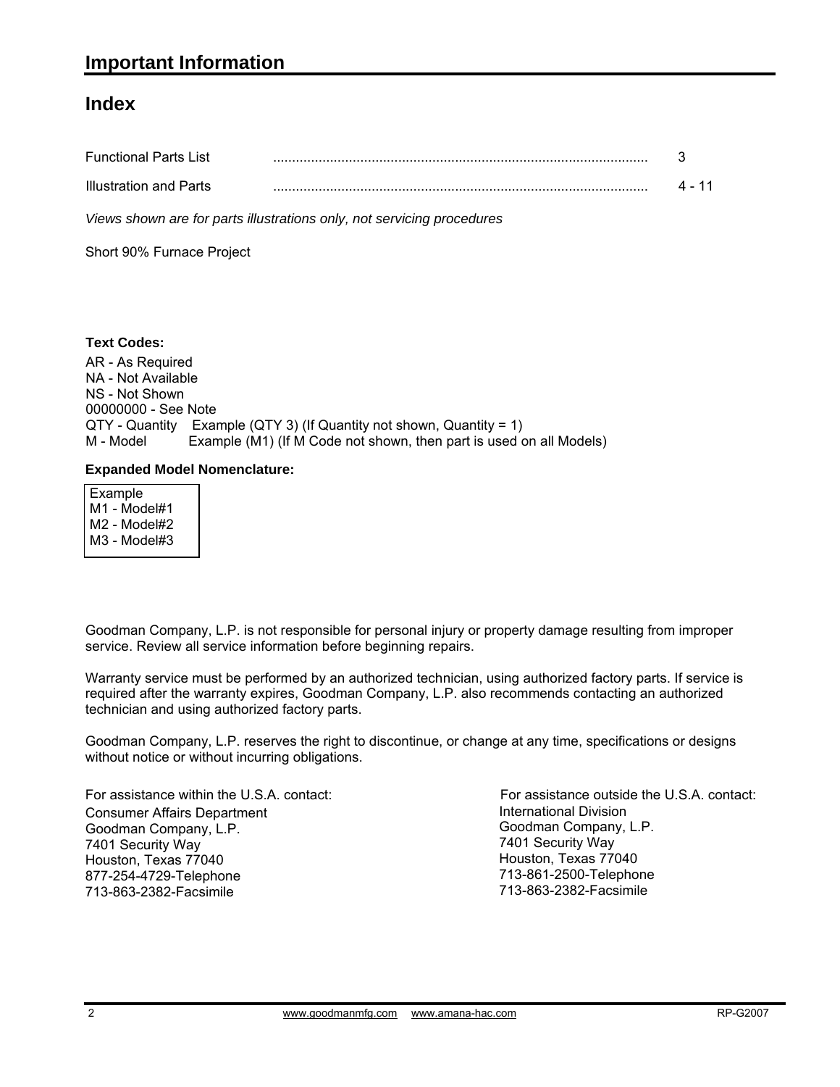### **Index**

| <b>Functional Parts List</b> |  |
|------------------------------|--|
| Illustration and Parts       |  |

*Views shown are for parts illustrations only, not servicing procedures*

Short 90% Furnace Project

### **Text Codes:**

AR - As Required NA - Not Available NS - Not Shown 00000000 - See Note QTY - Quantity Example (QTY 3) (If Quantity not shown, Quantity = 1) M - Model Example (M1) (If M Code not shown, then part is used on all Models)

### **Expanded Model Nomenclature:**

| Example      |  |  |
|--------------|--|--|
| M1 - Model#1 |  |  |
| M2 - Model#2 |  |  |
| M3 - Model#3 |  |  |

Goodman Company, L.P. is not responsible for personal injury or property damage resulting from improper service. Review all service information before beginning repairs.

Warranty service must be performed by an authorized technician, using authorized factory parts. If service is required after the warranty expires, Goodman Company, L.P. also recommends contacting an authorized technician and using authorized factory parts.

Goodman Company, L.P. reserves the right to discontinue, or change at any time, specifications or designs without notice or without incurring obligations.

For assistance within the U.S.A. contact: Consumer Affairs Department Goodman Company, L.P. 7401 Security Way Houston, Texas 77040 877-254-4729-Telephone 713-863-2382-Facsimile

International Division Goodman Company, L.P. 7401 Security Way Houston, Texas 77040 713-861-2500-Telephone 713-863-2382-Facsimile For assistance outside the U.S.A. contact: International Division<br>Goodman Company,<br>7401 Security Way<br>Houston, Texas 7704<br>713-861-2500-Teleph<br>713-863-2382-Facsir<br>713-863-2382-Facsir<br>www.goodmanmfg.com www.amana-hac.com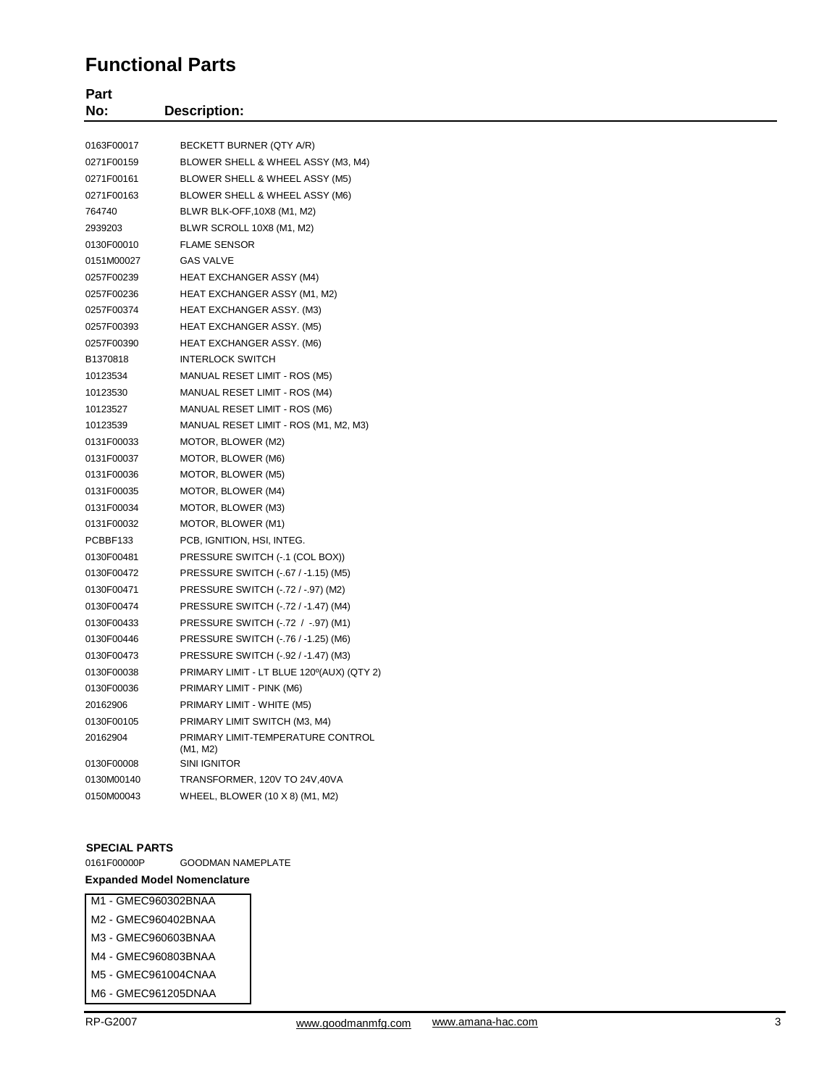### **Functional Parts**

| Part<br>No: | <b>Description:</b>                           |
|-------------|-----------------------------------------------|
|             |                                               |
| 0163F00017  | BECKETT BURNER (QTY A/R)                      |
| 0271F00159  | BLOWER SHELL & WHEEL ASSY (M3, M4)            |
| 0271F00161  | BLOWER SHELL & WHEEL ASSY (M5)                |
| 0271F00163  | BLOWER SHELL & WHEEL ASSY (M6)                |
| 764740      | BLWR BLK-OFF, 10X8 (M1, M2)                   |
| 2939203     | BLWR SCROLL 10X8 (M1, M2)                     |
| 0130F00010  | <b>FLAME SENSOR</b>                           |
| 0151M00027  | <b>GAS VALVE</b>                              |
| 0257F00239  | HEAT EXCHANGER ASSY (M4)                      |
| 0257F00236  | HEAT EXCHANGER ASSY (M1, M2)                  |
| 0257F00374  | HEAT EXCHANGER ASSY. (M3)                     |
| 0257F00393  | HEAT EXCHANGER ASSY. (M5)                     |
| 0257F00390  | HEAT EXCHANGER ASSY. (M6)                     |
| B1370818    | <b>INTERLOCK SWITCH</b>                       |
| 10123534    | MANUAL RESET LIMIT - ROS (M5)                 |
| 10123530    | MANUAL RESET LIMIT - ROS (M4)                 |
| 10123527    | MANUAL RESET LIMIT - ROS (M6)                 |
| 10123539    | MANUAL RESET LIMIT - ROS (M1, M2, M3)         |
| 0131F00033  | MOTOR, BLOWER (M2)                            |
| 0131F00037  | MOTOR, BLOWER (M6)                            |
| 0131F00036  | MOTOR, BLOWER (M5)                            |
| 0131F00035  | MOTOR, BLOWER (M4)                            |
| 0131F00034  | MOTOR, BLOWER (M3)                            |
| 0131F00032  | MOTOR, BLOWER (M1)                            |
| PCBBF133    | PCB, IGNITION, HSI, INTEG.                    |
| 0130F00481  | PRESSURE SWITCH (-.1 (COL BOX))               |
| 0130F00472  | PRESSURE SWITCH (-.67 / -1.15) (M5)           |
| 0130F00471  | PRESSURE SWITCH (-.72 / -.97) (M2)            |
| 0130F00474  | PRESSURE SWITCH (-.72 / -1.47) (M4)           |
| 0130F00433  | PRESSURE SWITCH (-.72 / -.97) (M1)            |
| 0130F00446  | PRESSURE SWITCH (-.76 / -1.25) (M6)           |
| 0130F00473  | PRESSURE SWITCH (-.92 / -1.47) (M3)           |
| 0130F00038  | PRIMARY LIMIT - LT BLUE 120° (AUX) (QTY 2)    |
| 0130F00036  | PRIMARY LIMIT - PINK (M6)                     |
| 20162906    | PRIMARY LIMIT - WHITE (M5)                    |
| 0130F00105  | PRIMARY LIMIT SWITCH (M3, M4)                 |
| 20162904    | PRIMARY LIMIT-TEMPERATURE CONTROL<br>(M1, M2) |
| 0130F00008  | SINI IGNITOR                                  |
| 0130M00140  | TRANSFORMER, 120V TO 24V,40VA                 |
| 0150M00043  | WHEEL, BLOWER (10 X 8) (M1, M2)               |

#### **SPECIAL PARTS**

0161F00000P GOODMAN NAMEPLATE

#### **Expanded Model Nomenclature**

- M1 GMEC960302BNAA
- M2 GMEC960402BNAA
- M3 GMEC960603BNAA
- M4 GMEC960803BNAA
- M5 GMEC961004CNAA
- M6 GMEC961205DNAA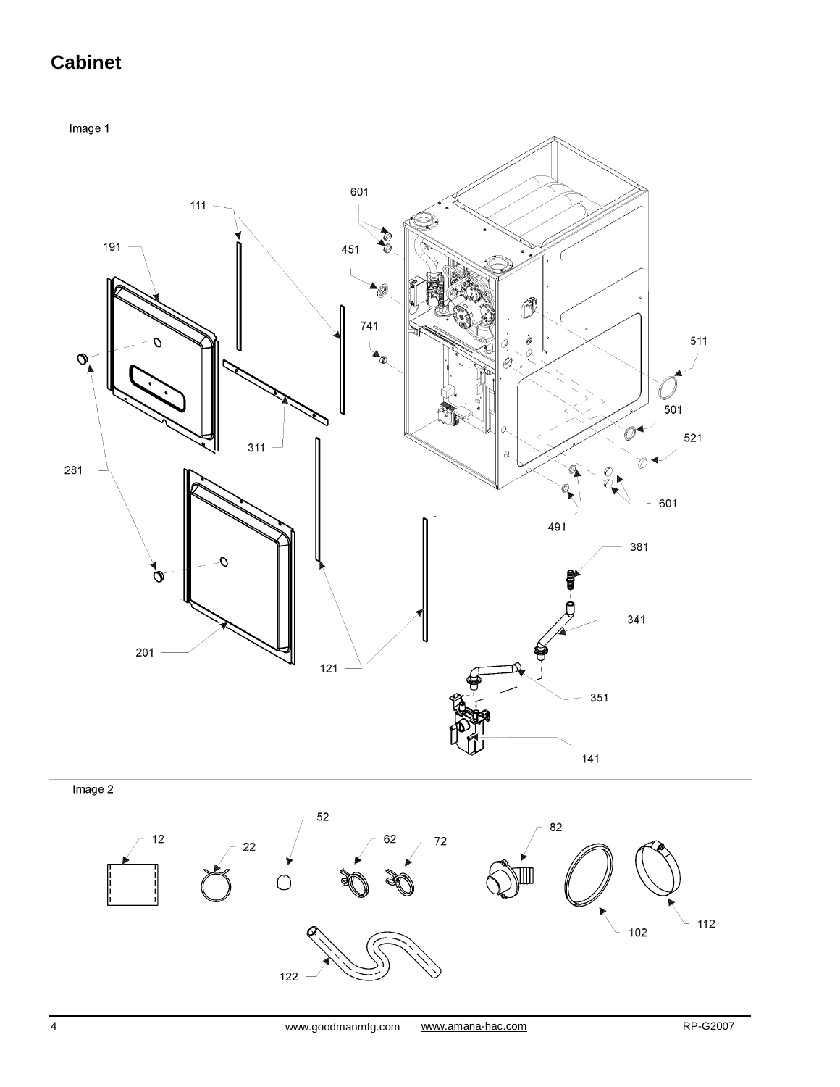## **Cabinet**

Image 1



122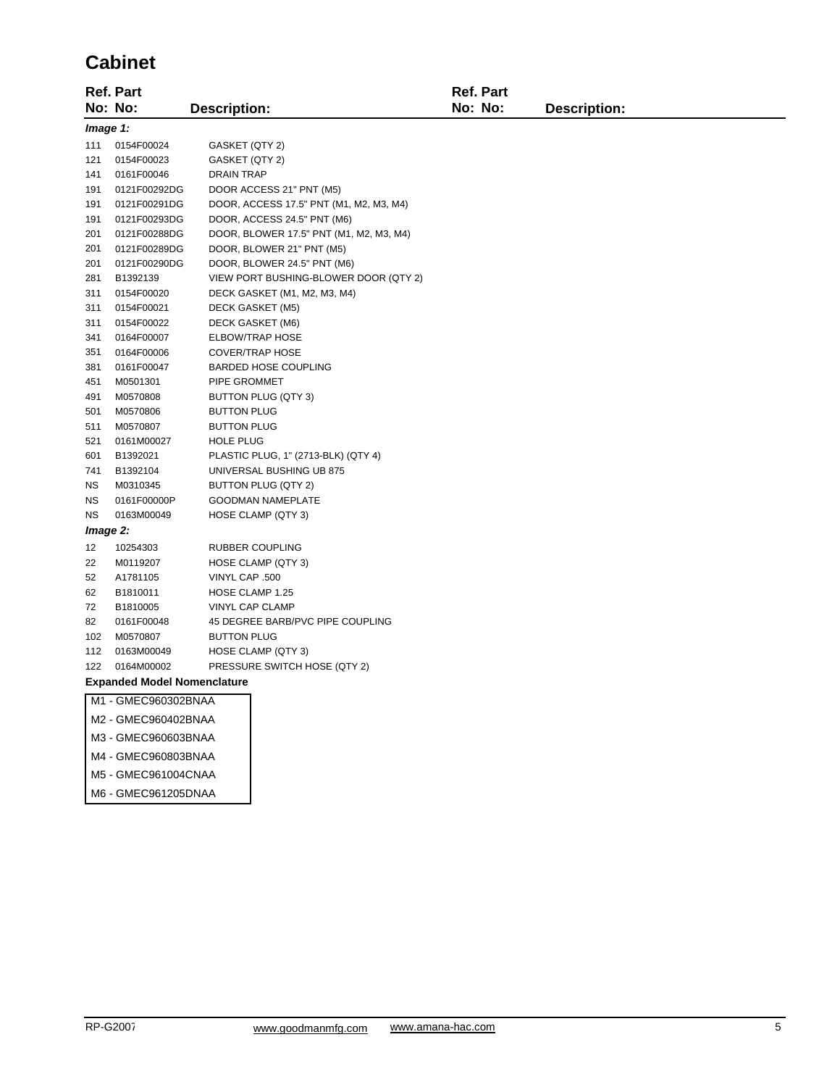## **Cabinet**

|           | <b>Ref. Part</b>                   |                     |                                         |  | Ref. Part |                     |  |
|-----------|------------------------------------|---------------------|-----------------------------------------|--|-----------|---------------------|--|
|           | No: No:                            | <b>Description:</b> |                                         |  | No: No:   | <b>Description:</b> |  |
| Image 1:  |                                    |                     |                                         |  |           |                     |  |
| 111       | 0154F00024                         | GASKET (QTY 2)      |                                         |  |           |                     |  |
| 121       | 0154F00023                         | GASKET (QTY 2)      |                                         |  |           |                     |  |
| 141       | 0161F00046                         | <b>DRAIN TRAP</b>   |                                         |  |           |                     |  |
| 191       | 0121F00292DG                       |                     | DOOR ACCESS 21" PNT (M5)                |  |           |                     |  |
| 191       | 0121F00291DG                       |                     | DOOR, ACCESS 17.5" PNT (M1, M2, M3, M4) |  |           |                     |  |
| 191       | 0121F00293DG                       |                     | DOOR, ACCESS 24.5" PNT (M6)             |  |           |                     |  |
| 201       | 0121F00288DG                       |                     | DOOR, BLOWER 17.5" PNT (M1, M2, M3, M4) |  |           |                     |  |
| 201       | 0121F00289DG                       |                     | DOOR, BLOWER 21" PNT (M5)               |  |           |                     |  |
| 201       | 0121F00290DG                       |                     | DOOR, BLOWER 24.5" PNT (M6)             |  |           |                     |  |
| 281       | B1392139                           |                     | VIEW PORT BUSHING-BLOWER DOOR (QTY 2)   |  |           |                     |  |
| 311       | 0154F00020                         |                     | DECK GASKET (M1, M2, M3, M4)            |  |           |                     |  |
| 311       | 0154F00021                         |                     | DECK GASKET (M5)                        |  |           |                     |  |
| 311       | 0154F00022                         |                     | DECK GASKET (M6)                        |  |           |                     |  |
| 341       | 0164F00007                         |                     | ELBOW/TRAP HOSE                         |  |           |                     |  |
| 351       | 0164F00006                         |                     | <b>COVER/TRAP HOSE</b>                  |  |           |                     |  |
| 381       | 0161F00047                         |                     | <b>BARDED HOSE COUPLING</b>             |  |           |                     |  |
| 451       | M0501301                           | PIPE GROMMET        |                                         |  |           |                     |  |
| 491       | M0570808                           |                     | BUTTON PLUG (QTY 3)                     |  |           |                     |  |
| 501       | M0570806                           | <b>BUTTON PLUG</b>  |                                         |  |           |                     |  |
| 511       | M0570807                           | <b>BUTTON PLUG</b>  |                                         |  |           |                     |  |
| 521       | 0161M00027                         | <b>HOLE PLUG</b>    |                                         |  |           |                     |  |
| 601       | B1392021                           |                     | PLASTIC PLUG, 1" (2713-BLK) (QTY 4)     |  |           |                     |  |
| 741       | B1392104                           |                     | UNIVERSAL BUSHING UB 875                |  |           |                     |  |
| ΝS        | M0310345                           |                     | BUTTON PLUG (QTY 2)                     |  |           |                     |  |
| ΝS        | 0161F00000P                        |                     | <b>GOODMAN NAMEPLATE</b>                |  |           |                     |  |
| <b>NS</b> | 0163M00049                         |                     | HOSE CLAMP (QTY 3)                      |  |           |                     |  |
| Image 2:  |                                    |                     |                                         |  |           |                     |  |
| 12        | 10254303                           |                     | RUBBER COUPLING                         |  |           |                     |  |
| 22        | M0119207                           |                     | HOSE CLAMP (QTY 3)                      |  |           |                     |  |
| 52        | A1781105                           | VINYL CAP .500      |                                         |  |           |                     |  |
| 62        | B1810011                           |                     | HOSE CLAMP 1.25                         |  |           |                     |  |
| 72        | B1810005                           |                     | VINYL CAP CLAMP                         |  |           |                     |  |
| 82        | 0161F00048                         |                     | 45 DEGREE BARB/PVC PIPE COUPLING        |  |           |                     |  |
| 102       | M0570807                           | <b>BUTTON PLUG</b>  |                                         |  |           |                     |  |
| 112       | 0163M00049                         |                     | HOSE CLAMP (QTY 3)                      |  |           |                     |  |
| 122       | 0164M00002                         |                     | PRESSURE SWITCH HOSE (QTY 2)            |  |           |                     |  |
|           | <b>Expanded Model Nomenclature</b> |                     |                                         |  |           |                     |  |
|           | M1 - GMEC960302BNAA                |                     |                                         |  |           |                     |  |
|           | M2 - GMEC960402BNAA                |                     |                                         |  |           |                     |  |
|           | M3 - GMEC960603BNAA                |                     |                                         |  |           |                     |  |
|           | M4 - GMEC960803BNAA                |                     |                                         |  |           |                     |  |

M5 - GMEC961004CNAA

M6 - GMEC961205DNAA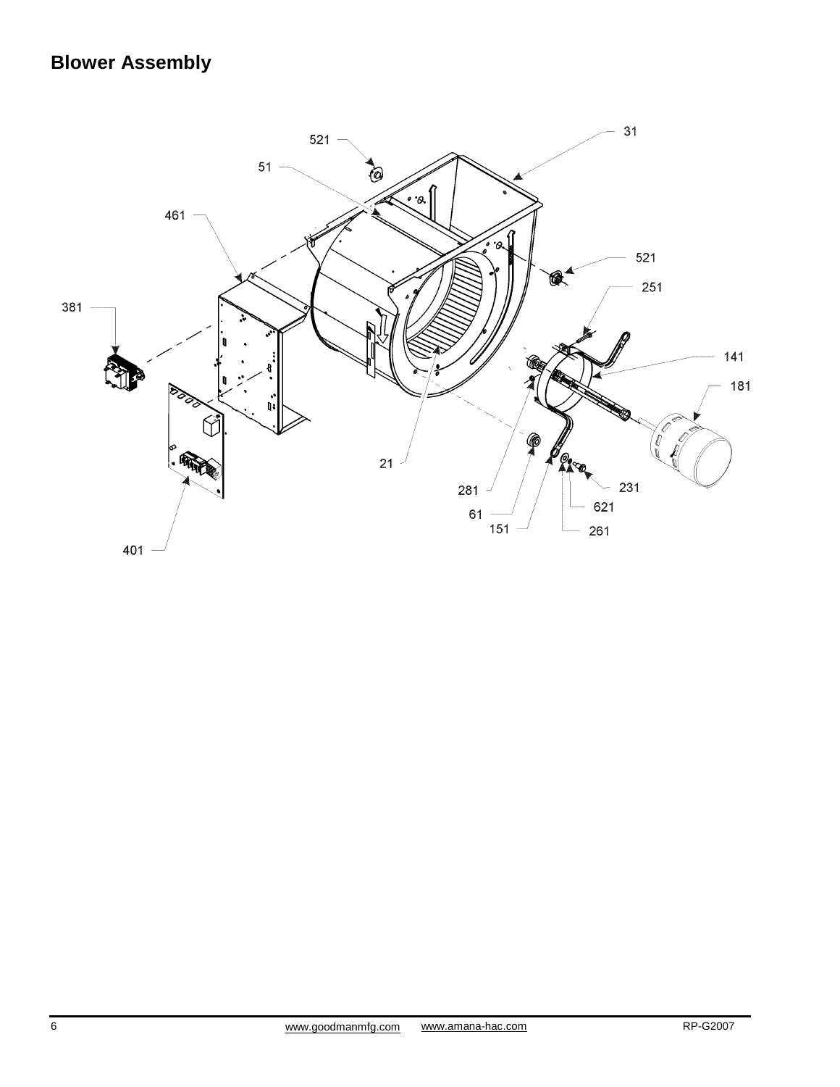## **Blower Assembly**

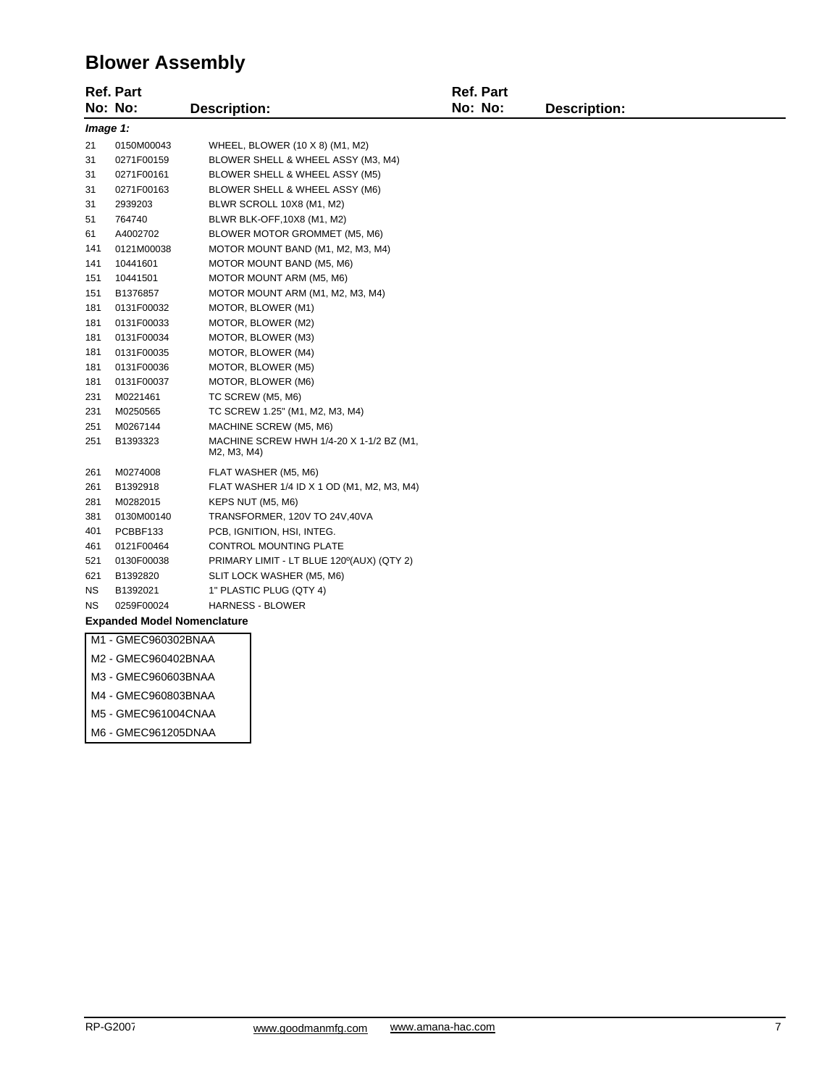## **Blower Assembly**

|                                    | <b>Ref. Part</b>    |                     |                                            | <b>Ref. Part</b> |                     |  |
|------------------------------------|---------------------|---------------------|--------------------------------------------|------------------|---------------------|--|
|                                    | No: No:             | <b>Description:</b> |                                            | No: No:          | <b>Description:</b> |  |
|                                    | Image 1:            |                     |                                            |                  |                     |  |
| 21                                 | 0150M00043          |                     | WHEEL, BLOWER (10 X 8) (M1, M2)            |                  |                     |  |
| 31                                 | 0271F00159          |                     | BLOWER SHELL & WHEEL ASSY (M3, M4)         |                  |                     |  |
| 31                                 | 0271F00161          |                     | BLOWER SHELL & WHEEL ASSY (M5)             |                  |                     |  |
| 31                                 | 0271F00163          |                     | BLOWER SHELL & WHEEL ASSY (M6)             |                  |                     |  |
| 31                                 | 2939203             |                     | BLWR SCROLL 10X8 (M1, M2)                  |                  |                     |  |
| 51                                 | 764740              |                     | BLWR BLK-OFF, 10X8 (M1, M2)                |                  |                     |  |
| 61                                 | A4002702            |                     | BLOWER MOTOR GROMMET (M5, M6)              |                  |                     |  |
| 141                                | 0121M00038          |                     | MOTOR MOUNT BAND (M1, M2, M3, M4)          |                  |                     |  |
| 141                                | 10441601            |                     | MOTOR MOUNT BAND (M5, M6)                  |                  |                     |  |
| 151                                | 10441501            |                     | MOTOR MOUNT ARM (M5, M6)                   |                  |                     |  |
| 151                                | B1376857            |                     | MOTOR MOUNT ARM (M1, M2, M3, M4)           |                  |                     |  |
| 181                                | 0131F00032          |                     | MOTOR, BLOWER (M1)                         |                  |                     |  |
| 181                                | 0131F00033          |                     | MOTOR, BLOWER (M2)                         |                  |                     |  |
| 181                                | 0131F00034          |                     | MOTOR, BLOWER (M3)                         |                  |                     |  |
| 181                                | 0131F00035          |                     | MOTOR, BLOWER (M4)                         |                  |                     |  |
| 181                                | 0131F00036          |                     | MOTOR, BLOWER (M5)                         |                  |                     |  |
| 181                                | 0131F00037          |                     | MOTOR, BLOWER (M6)                         |                  |                     |  |
| 231                                | M0221461            |                     | TC SCREW (M5, M6)                          |                  |                     |  |
| 231                                | M0250565            |                     | TC SCREW 1.25" (M1, M2, M3, M4)            |                  |                     |  |
| 251                                | M0267144            |                     | MACHINE SCREW (M5, M6)                     |                  |                     |  |
| 251                                | B1393323            | M2, M3, M4)         | MACHINE SCREW HWH 1/4-20 X 1-1/2 BZ (M1,   |                  |                     |  |
| 261                                | M0274008            |                     | FLAT WASHER (M5, M6)                       |                  |                     |  |
| 261                                | B1392918            |                     | FLAT WASHER 1/4 ID X 1 OD (M1, M2, M3, M4) |                  |                     |  |
| 281                                | M0282015            |                     | KEPS NUT (M5, M6)                          |                  |                     |  |
| 381                                | 0130M00140          |                     | TRANSFORMER, 120V TO 24V,40VA              |                  |                     |  |
| 401                                | PCBBF133            |                     | PCB, IGNITION, HSI, INTEG.                 |                  |                     |  |
| 461                                | 0121F00464          |                     | CONTROL MOUNTING PLATE                     |                  |                     |  |
| 521                                | 0130F00038          |                     | PRIMARY LIMIT - LT BLUE 120° (AUX) (QTY 2) |                  |                     |  |
| 621                                | B1392820            |                     | SLIT LOCK WASHER (M5, M6)                  |                  |                     |  |
| ΝS                                 | B1392021            |                     | 1" PLASTIC PLUG (QTY 4)                    |                  |                     |  |
| ΝS                                 | 0259F00024          |                     | HARNESS - BLOWER                           |                  |                     |  |
| <b>Expanded Model Nomenclature</b> |                     |                     |                                            |                  |                     |  |
|                                    | M1 - GMEC960302BNAA |                     |                                            |                  |                     |  |
|                                    | M2 - GMEC960402BNAA |                     |                                            |                  |                     |  |
|                                    | M3 - GMEC960603BNAA |                     |                                            |                  |                     |  |
|                                    | M4 - GMEC960803BNAA |                     |                                            |                  |                     |  |
|                                    | M5 - GMEC961004CNAA |                     |                                            |                  |                     |  |
|                                    | M6 - GMEC961205DNAA |                     |                                            |                  |                     |  |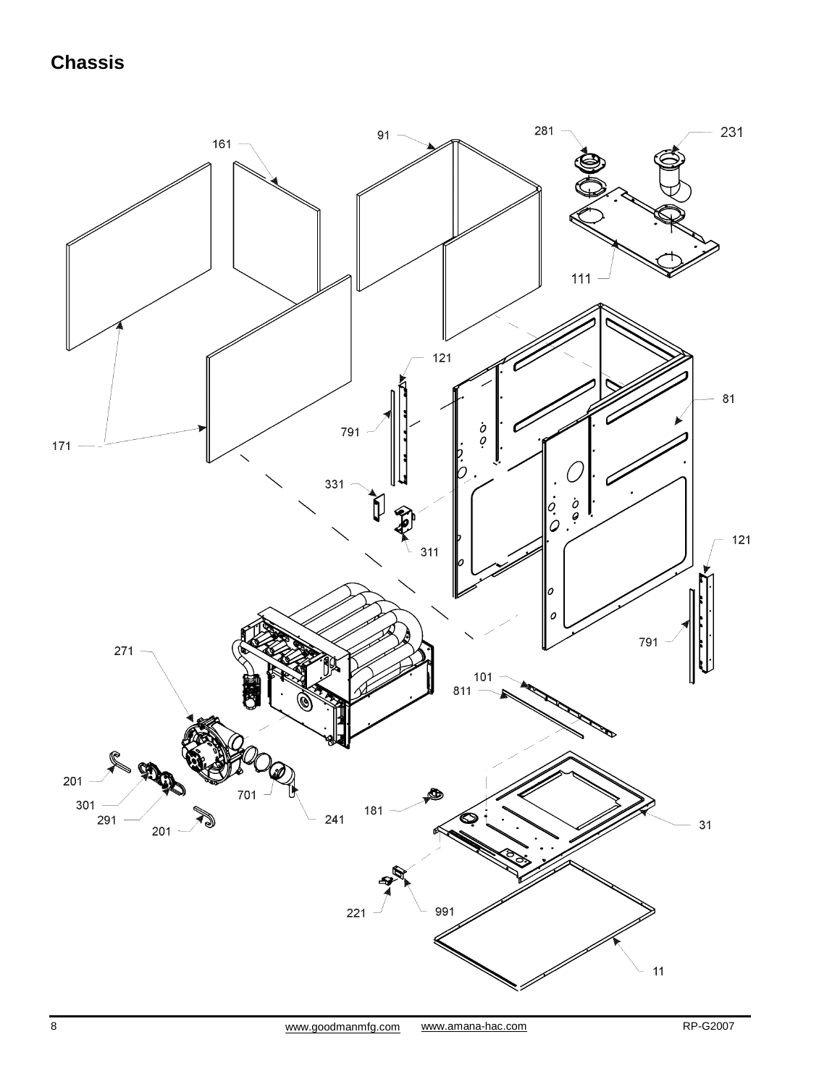## **Chassis**

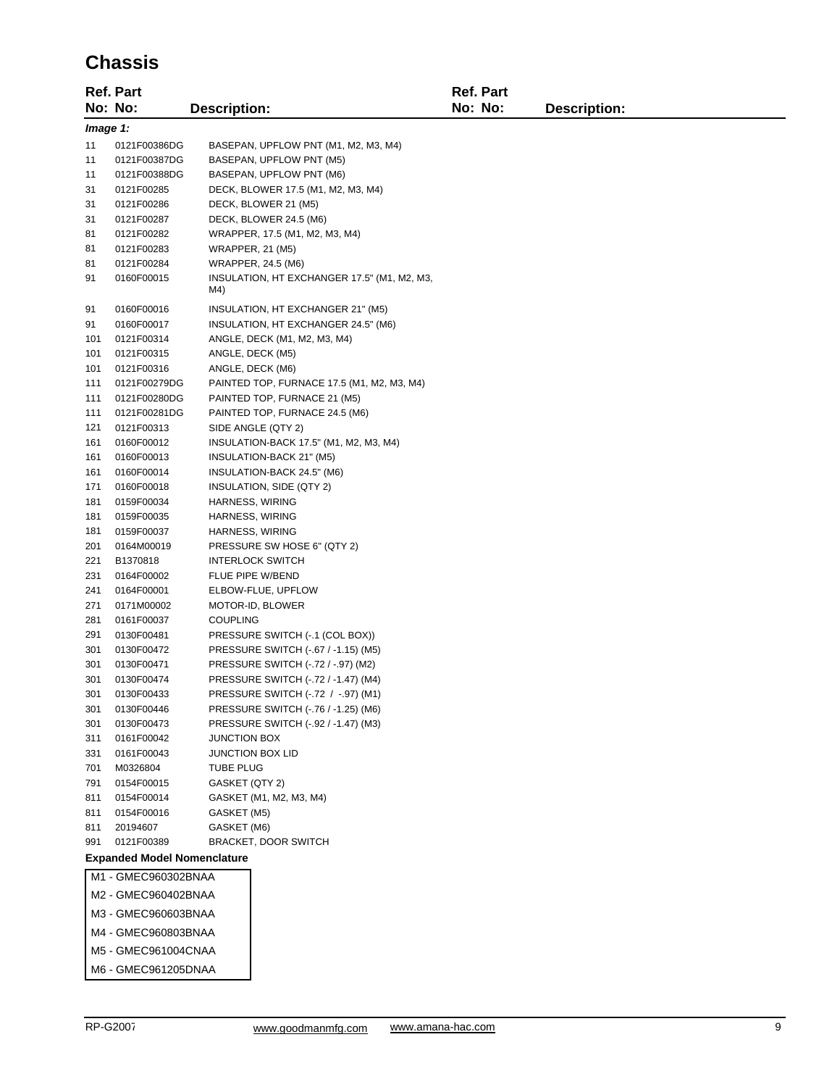## **Chassis**

|                     | <b>Ref. Part</b>                   |                     |                                                                            | Ref. Part |              |
|---------------------|------------------------------------|---------------------|----------------------------------------------------------------------------|-----------|--------------|
|                     | No: No:                            | <b>Description:</b> |                                                                            | No: No:   | Description: |
| Image 1:            |                                    |                     |                                                                            |           |              |
| 11                  | 0121F00386DG                       |                     | BASEPAN, UPFLOW PNT (M1, M2, M3, M4)                                       |           |              |
| 11                  | 0121F00387DG                       |                     | BASEPAN, UPFLOW PNT (M5)                                                   |           |              |
| 11                  | 0121F00388DG                       |                     | BASEPAN, UPFLOW PNT (M6)                                                   |           |              |
| 31                  | 0121F00285                         |                     | DECK, BLOWER 17.5 (M1, M2, M3, M4)                                         |           |              |
| 31                  | 0121F00286                         |                     | DECK, BLOWER 21 (M5)                                                       |           |              |
| 31                  | 0121F00287                         |                     | DECK, BLOWER 24.5 (M6)                                                     |           |              |
| 81                  | 0121F00282                         |                     | WRAPPER, 17.5 (M1, M2, M3, M4)                                             |           |              |
| 81                  | 0121F00283                         |                     | <b>WRAPPER, 21 (M5)</b>                                                    |           |              |
| 81                  | 0121F00284                         |                     | WRAPPER, 24.5 (M6)                                                         |           |              |
| 91                  | 0160F00015                         |                     | INSULATION, HT EXCHANGER 17.5" (M1, M2, M3,                                |           |              |
|                     |                                    | M4)                 |                                                                            |           |              |
| 91                  | 0160F00016                         |                     | INSULATION, HT EXCHANGER 21" (M5)                                          |           |              |
| 91                  | 0160F00017                         |                     | INSULATION, HT EXCHANGER 24.5" (M6)                                        |           |              |
| 101                 | 0121F00314                         |                     | ANGLE, DECK (M1, M2, M3, M4)                                               |           |              |
| 101                 | 0121F00315                         |                     | ANGLE, DECK (M5)                                                           |           |              |
| 101                 | 0121F00316                         |                     | ANGLE, DECK (M6)                                                           |           |              |
| 111                 | 0121F00279DG                       |                     | PAINTED TOP, FURNACE 17.5 (M1, M2, M3, M4)                                 |           |              |
| 111                 | 0121F00280DG                       |                     | PAINTED TOP, FURNACE 21 (M5)                                               |           |              |
| 111                 | 0121F00281DG                       |                     | PAINTED TOP, FURNACE 24.5 (M6)                                             |           |              |
| 121                 | 0121F00313                         |                     | SIDE ANGLE (QTY 2)                                                         |           |              |
| 161                 | 0160F00012                         |                     | INSULATION-BACK 17.5" (M1, M2, M3, M4)                                     |           |              |
| 161                 | 0160F00013                         |                     | INSULATION-BACK 21" (M5)                                                   |           |              |
| 161                 | 0160F00014                         |                     | INSULATION-BACK 24.5" (M6)                                                 |           |              |
| 171                 | 0160F00018                         |                     | INSULATION, SIDE (QTY 2)                                                   |           |              |
| 181                 | 0159F00034                         |                     | HARNESS, WIRING                                                            |           |              |
| 181                 | 0159F00035                         |                     | HARNESS, WIRING                                                            |           |              |
| 181                 | 0159F00037                         |                     | HARNESS, WIRING                                                            |           |              |
| 201                 | 0164M00019                         |                     | PRESSURE SW HOSE 6" (QTY 2)                                                |           |              |
| 221                 | B1370818                           |                     | <b>INTERLOCK SWITCH</b>                                                    |           |              |
| 231                 | 0164F00002                         |                     | FLUE PIPE W/BEND                                                           |           |              |
| 241                 | 0164F00001                         |                     | ELBOW-FLUE, UPFLOW                                                         |           |              |
| 271                 | 0171M00002                         |                     | MOTOR-ID, BLOWER                                                           |           |              |
| 281                 | 0161F00037                         | <b>COUPLING</b>     |                                                                            |           |              |
| 291                 | 0130F00481                         |                     | PRESSURE SWITCH (-.1 (COL BOX))                                            |           |              |
| 301                 | 0130F00472                         |                     | PRESSURE SWITCH (-.67 / -1.15) (M5)                                        |           |              |
| 301                 | 0130F00471                         |                     | PRESSURE SWITCH (-.72 / -.97) (M2)                                         |           |              |
| 301                 | 0130F00474                         |                     | PRESSURE SWITCH (-.72 / -1.47) (M4)                                        |           |              |
| 301                 | 0130F00433                         |                     | PRESSURE SWITCH (-.72 / -.97) (M1)                                         |           |              |
| 301                 | 0130F00446                         |                     | PRESSURE SWITCH (-.76 / -1.25) (M6)<br>PRESSURE SWITCH (-.92 / -1.47) (M3) |           |              |
| 301                 | 0130F00473                         |                     |                                                                            |           |              |
| 311                 | 0161F00042                         | <b>JUNCTION BOX</b> |                                                                            |           |              |
| 331                 | 0161F00043                         |                     | <b>JUNCTION BOX LID</b>                                                    |           |              |
| 701<br>791          | M0326804<br>0154F00015             | TUBE PLUG           |                                                                            |           |              |
|                     |                                    | GASKET (QTY 2)      |                                                                            |           |              |
| 811<br>811          | 0154F00014<br>0154F00016           | GASKET (M5)         | GASKET (M1, M2, M3, M4)                                                    |           |              |
| 811                 | 20194607                           | GASKET (M6)         |                                                                            |           |              |
| 991                 | 0121F00389                         |                     | <b>BRACKET, DOOR SWITCH</b>                                                |           |              |
|                     | <b>Expanded Model Nomenclature</b> |                     |                                                                            |           |              |
|                     |                                    |                     |                                                                            |           |              |
| M1 - GMEC960302BNAA |                                    |                     |                                                                            |           |              |
|                     | M2 - GMEC960402BNAA                |                     |                                                                            |           |              |
|                     | M3 - GMEC960603BNAA                |                     |                                                                            |           |              |

- M4 GMEC960803BNAA
- M5 GMEC961004CNAA
- M6 GMEC961205DNAA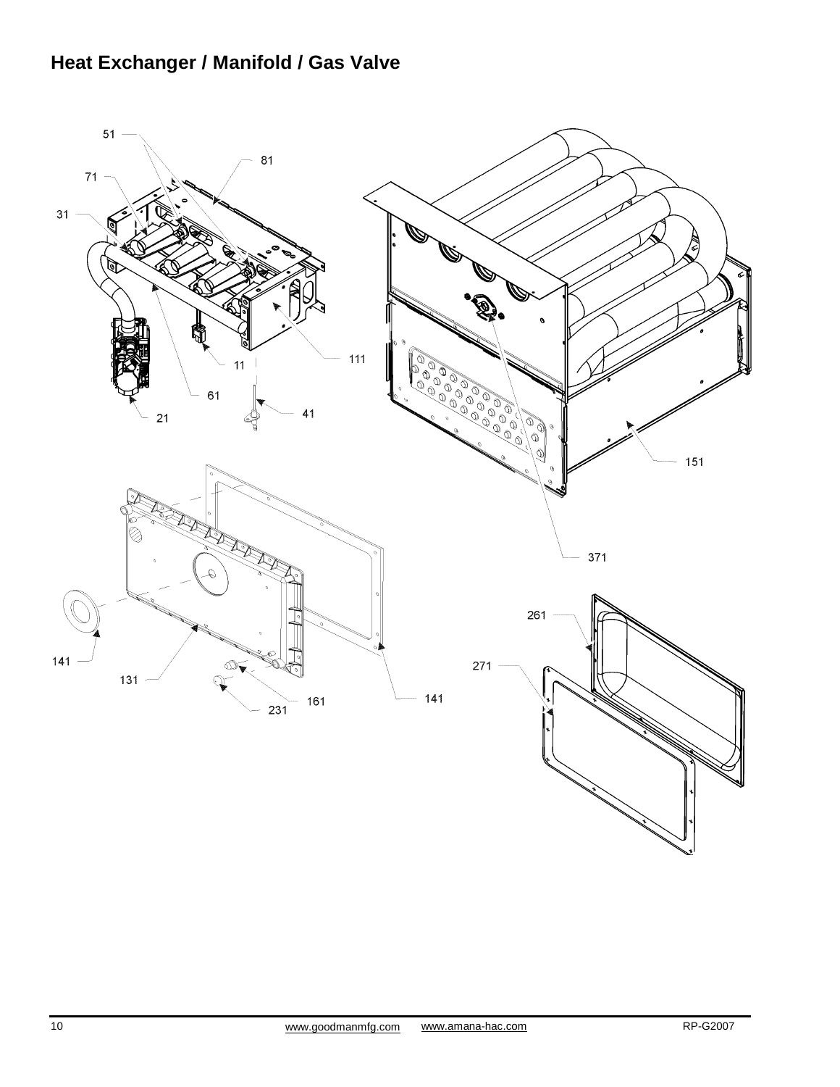## **Heat Exchanger / Manifold / Gas Valve**